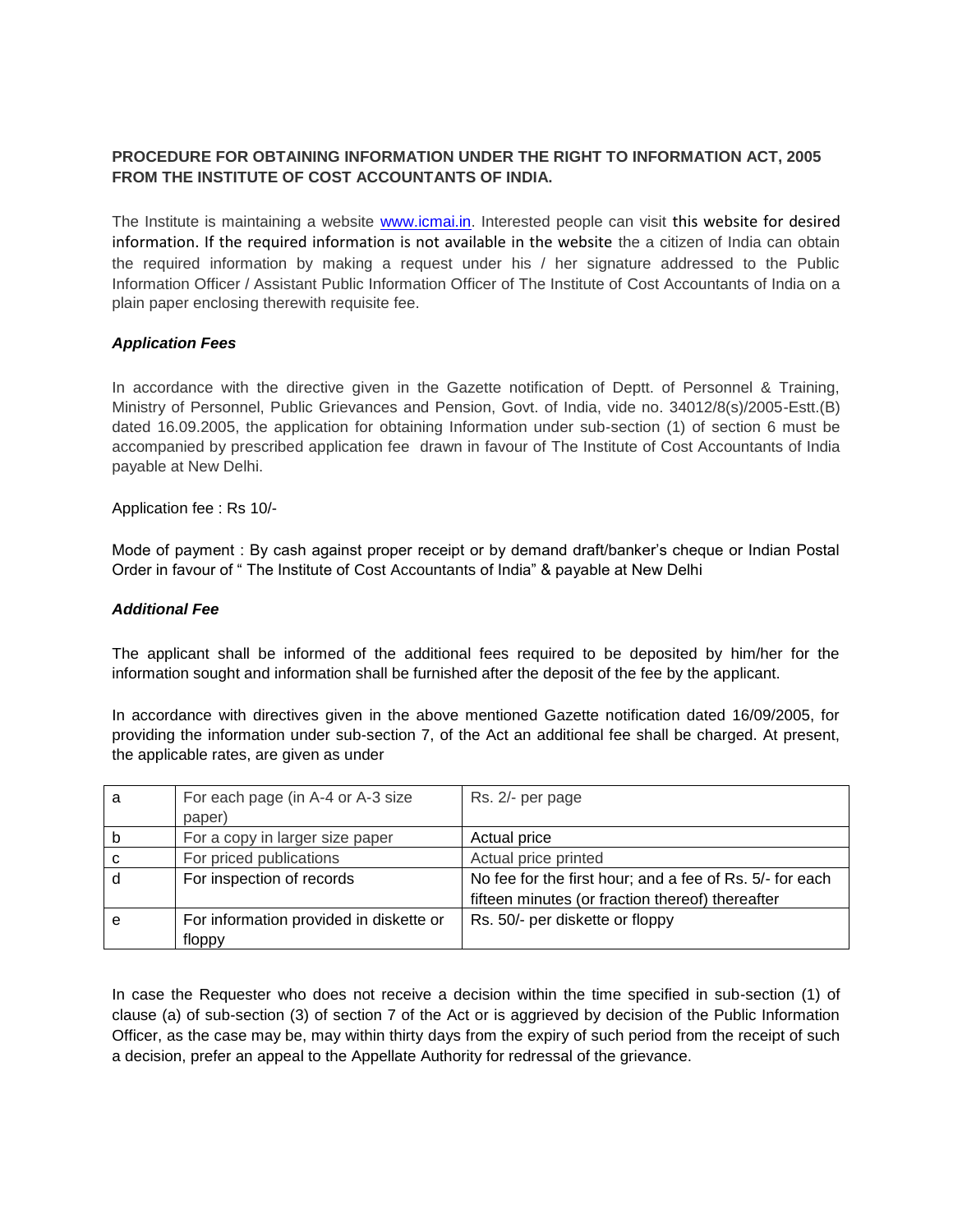# **PROCEDURE FOR OBTAINING INFORMATION UNDER THE RIGHT TO INFORMATION ACT, 2005 FROM THE INSTITUTE OF COST ACCOUNTANTS OF INDIA.**

The Institute is maintaining a website [www.icmai.in.](http://www.icmai.in/) Interested people can visit this website for desired information. If the required information is not available in the website the a citizen of India can obtain the required information by making a request under his / her signature addressed to the Public Information Officer / Assistant Public Information Officer of The Institute of Cost Accountants of India on a plain paper enclosing therewith requisite fee.

#### *Application Fees*

In accordance with the directive given in the Gazette notification of Deptt. of Personnel & Training, Ministry of Personnel, Public Grievances and Pension, Govt. of India, vide no. 34012/8(s)/2005-Estt.(B) dated 16.09.2005, the application for obtaining Information under sub-section (1) of section 6 must be accompanied by prescribed application fee drawn in favour of The Institute of Cost Accountants of India payable at New Delhi.

Application fee : Rs 10/-

Mode of payment : By cash against proper receipt or by demand draft/banker's cheque or Indian Postal Order in favour of " The Institute of Cost Accountants of India" & payable at New Delhi

#### *Additional Fee*

The applicant shall be informed of the additional fees required to be deposited by him/her for the information sought and information shall be furnished after the deposit of the fee by the applicant.

In accordance with directives given in the above mentioned Gazette notification dated 16/09/2005, for providing the information under sub-section 7, of the Act an additional fee shall be charged. At present, the applicable rates, are given as under

| a | For each page (in A-4 or A-3 size)      | Rs. 2/- per page                                         |
|---|-----------------------------------------|----------------------------------------------------------|
|   | paper)                                  |                                                          |
| b | For a copy in larger size paper         | Actual price                                             |
| C | For priced publications                 | Actual price printed                                     |
| d | For inspection of records               | No fee for the first hour; and a fee of Rs. 5/- for each |
|   |                                         | fifteen minutes (or fraction thereof) thereafter         |
| e | For information provided in diskette or | Rs. 50/- per diskette or floppy                          |
|   | floppy                                  |                                                          |

In case the Requester who does not receive a decision within the time specified in sub-section (1) of clause (a) of sub-section (3) of section 7 of the Act or is aggrieved by decision of the Public Information Officer, as the case may be, may within thirty days from the expiry of such period from the receipt of such a decision, prefer an appeal to the Appellate Authority for redressal of the grievance.